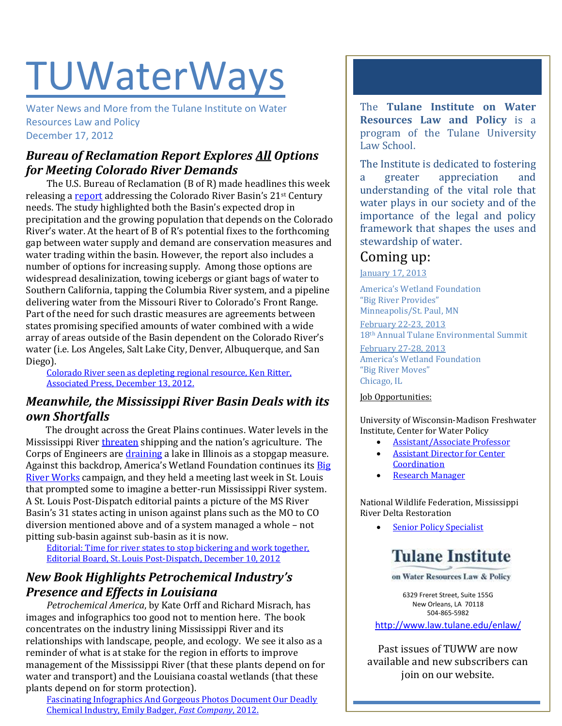# **TUWaterWays**

Water News and More from the Tulane Institute on Water Resources Law and Policy December 17, 2012

## *Bureau of Reclamation Report Explores All Options for Meeting Colorado River Demands*

The U.S. Bureau of Reclamation (B of R) made headlines this week releasing [a report](http://www.usbr.gov/lc/region/programs/crbstudy/finalreport/index.html) addressing the Colorado River Basin's 21<sup>st</sup> Century needs. The study highlighted both the Basin's expected drop in precipitation and the growing population that depends on the Colorado River's water. At the heart of B of R's potential fixes to the forthcoming gap between water supply and demand are conservation measures and water trading within the basin. However, the report also includes a number of options for increasing supply. Among those options are widespread desalinization, towing icebergs or giant bags of water to Southern California, tapping the Columbia River system, and a pipeline delivering water from the Missouri River to Colorado's Front Range. Part of the need for such drastic measures are agreements between states promising specified amounts of water combined with a wide array of areas outside of the Basin dependent on the Colorado River's water (i.e. Los Angeles, Salt Lake City, Denver, Albuquerque, and San Diego).

[Colorado River seen as depleting regional resource, Ken Ritter,](https://www.google.com/hostednews/ap/article/ALeqM5i9XquLjVRYlskUv9hHz6e_B5y-vA?docId=723b5c062eaf4161b46a546da1f79a3f)  [Associated Press, December 13, 2012.](https://www.google.com/hostednews/ap/article/ALeqM5i9XquLjVRYlskUv9hHz6e_B5y-vA?docId=723b5c062eaf4161b46a546da1f79a3f)

#### *Meanwhile, the Mississippi River Basin Deals with its own Shortfalls*

The drought across the Great Plains continues. Water levels in the Mississippi River [threaten](http://www.businessweek.com/articles/2012-12-06/the-mississippi-river-ebbs-and-farmers-stock-up) shipping and the nation's agriculture. The Corps of Engineers are *draining* a lake in Illinois as a stopgap measure. Against this backdrop, America's Wetland Foundation continues its [Big](http://bigriverworks.org/)  [River Works](http://bigriverworks.org/) campaign, and they held a meeting last week in St. Louis that prompted some to imagine a better-run Mississippi River system. A St. Louis Post-Dispatch editorial paints a picture of the MS River Basin's 31 states acting in unison against plans such as the MO to CO diversion mentioned above and of a system managed a whole – not pitting sub-basin against sub-basin as it is now.

[Editorial: Time for river states to stop bickering and work together,](http://www.stltoday.com/news/opinion/columns/the-platform/editorial-time-for-river-states-to-stop-bickering-and-work/article_26dd8302-3910-556b-aed5-738c7e673b56.html)  [Editorial Board, St. Louis Post-Dispatch, December 10, 2012](http://www.stltoday.com/news/opinion/columns/the-platform/editorial-time-for-river-states-to-stop-bickering-and-work/article_26dd8302-3910-556b-aed5-738c7e673b56.html)

## *New Book Highlights Petrochemical Industry's Presence and Effects in Louisiana*

*Petrochemical America*, by Kate Orff and Richard Misrach, has images and infographics too good not to mention here. The book concentrates on the industry lining Mississippi River and its relationships with landscape, people, and ecology. We see it also as a reminder of what is at stake for the region in efforts to improve management of the Mississippi River (that these plants depend on for water and transport) and the Louisiana coastal wetlands (that these plants depend on for storm protection).

[Fascinating Infographics And Gorgeous Photos Document Our Deadly](http://www.fastcoexist.com/1680961/fascinating-infographics-and-gorgeous-photos-document-our-deadly-chemical-industry#1)  [Chemical Industry, Emily Badger,](http://www.fastcoexist.com/1680961/fascinating-infographics-and-gorgeous-photos-document-our-deadly-chemical-industry#1) *Fast Company*, 2012.

The **Tulane Institute on Water Resources Law and Policy** is a program of the Tulane University Law School.

The Institute is dedicated to fostering a greater appreciation and understanding of the vital role that water plays in our society and of the importance of the legal and policy framework that shapes the uses and stewardship of water.

# Coming up:

January 17, 2013

America's Wetland Foundation "Big River Provides" Minneapolis/St. Paul, MN February 22-23, 2013 18th Annual Tulane Environmental Summit February 27-28, 2013 America's Wetland Foundation "Big River Moves" Chicago, IL

#### Job Opportunities:

University of Wisconsin-Madison Freshwater Institute, Center for Water Policy

- [Assistant/Associate Professor](https://jobs.uwm.edu/postings/11273)
- [Assistant Director for Center](https://jobs.uwm.edu/postings/11331)  **[Coordination](https://jobs.uwm.edu/postings/11331)**
- [Research Manager](https://jobs.uwm.edu/postings/11360)

National Wildlife Federation, Mississippi River Delta Restoration

[Senior Policy Specialist](http://www.mississippiriverdelta.org/blog/2012/11/28/job-opening-senior-policy-specialist-mississippi-river-delta-restoration-campaign-national-wildlife-federation/)



on Water Resources Law & Policy

6329 Freret Street, Suite 155G New Orleans, LA 70118 504-865-5982

<http://www.law.tulane.edu/enlaw/>

Past issues of TUWW are now available and new subscribers can join on our website.